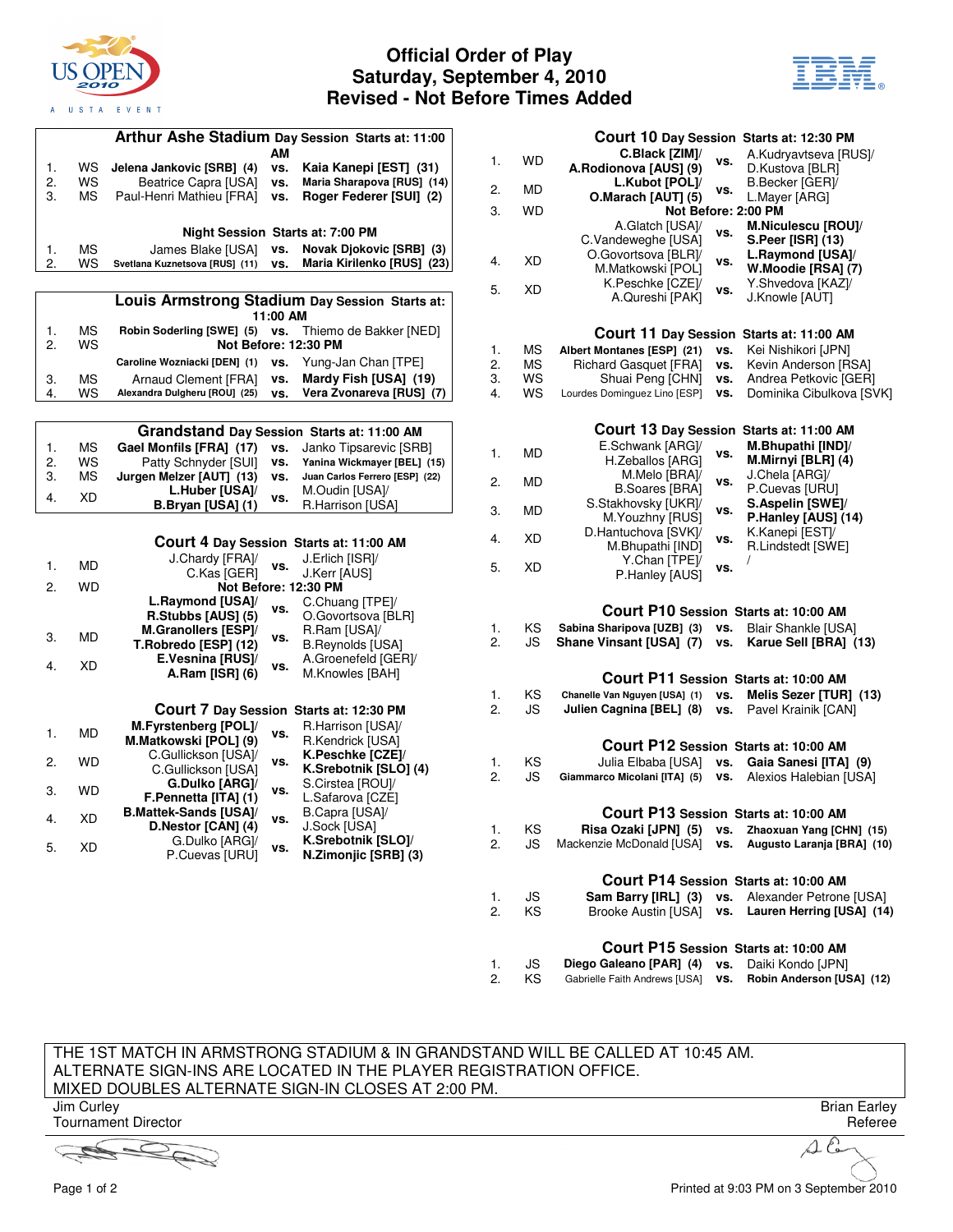

## **Official Order of Play Saturday, September 4, 2010 Revised - Not Before Times Added**



| Arthur Ashe Stadium Day Session Starts at: 11:00 |           |                                                    |           |                                                |          |
|--------------------------------------------------|-----------|----------------------------------------------------|-----------|------------------------------------------------|----------|
| 1.                                               | ws        | Jelena Jankovic [SRB] (4)                          | АM<br>VS. | Kaia Kanepi [EST] (31)                         | 1.       |
| 2.                                               | WS        | Beatrice Capra [USA]                               | VS.       | Maria Sharapova [RUS] (14)                     |          |
| 3.                                               | МS        | Paul-Henri Mathieu [FRA]                           | VS.       | Roger Federer [SUI] (2)                        | 2.       |
|                                                  |           |                                                    |           |                                                | 3.       |
|                                                  |           |                                                    |           | <b>Night Session Starts at: 7:00 PM</b>        |          |
| 1.                                               | МS        | James Blake [USA]                                  | vs.       | Novak Djokovic [SRB] (3)                       |          |
| 2.                                               | WS        | Svetlana Kuznetsova [RUS] (11)                     | VS.       | Maria Kirilenko [RUS] (23)                     | 4.       |
|                                                  |           |                                                    |           |                                                |          |
|                                                  |           |                                                    |           | Louis Armstrong Stadium Day Session Starts at: | 5.       |
|                                                  |           |                                                    | 11:00 AM  |                                                |          |
| 1.                                               | МS        | Robin Soderling [SWE] (5)                          | VS.       | Thiemo de Bakker [NED]                         |          |
| 2.                                               | WS        |                                                    |           | Not Before: 12:30 PM                           | 1.       |
|                                                  |           | Caroline Wozniacki [DEN] (1)                       | VS.       | Yung-Jan Chan [TPE]                            | 2.       |
| 3.                                               | МS        | Arnaud Clement [FRA]                               | VS.       | Mardy Fish [USA] (19)                          | 3.       |
| 4.                                               | WS        | Alexandra Dulgheru [ROU] (25)                      | VS.       | Vera Zvonareva [RUS] (7)                       | 4.       |
|                                                  |           |                                                    |           |                                                |          |
|                                                  |           |                                                    |           | Grandstand Day Session Starts at: 11:00 AM     |          |
| 1.                                               | МS        | Gael Monfils [FRA] (17)                            | VS.       | Janko Tipsarevic [SRB]                         |          |
| 2.                                               | WS        | Patty Schnyder [SUI]                               | VS.       | Yanina Wickmayer [BEL] (15)                    | 1.       |
| 3.                                               | МS        | Jurgen Melzer [AUT] (13)                           | VS.       | Juan Carlos Ferrero [ESP] (22)                 | 2.       |
| 4.                                               | XD        | L.Huber [USA]/                                     | VS.       | M.Oudin [USA]/                                 |          |
|                                                  |           | B.Bryan [USA] (1)                                  |           | R.Harrison [USA]                               | 3.       |
|                                                  |           |                                                    |           |                                                |          |
|                                                  |           |                                                    |           | Court 4 Day Session Starts at: 11:00 AM        | 4.       |
| 1.                                               | MD        | J.Chardy [FRA]/                                    | vs.       | J.Erlich [ISR]/                                |          |
|                                                  |           | C.Kas [GER]                                        |           | J.Kerr [AUS]                                   | 5.       |
| 2.                                               | <b>WD</b> |                                                    |           | Not Before: 12:30 PM                           |          |
|                                                  |           | L.Raymond [USA]/                                   | vs.       | C.Chuang [TPE]/                                |          |
|                                                  |           | R.Stubbs [AUS] (5)<br>M.Granollers [ESP]/          |           | O.Govortsova [BLR]<br>R.Ram [USA]/             | 1.       |
| 3.                                               | МD        | T.Robredo [ESP] (12)                               | VS.       | <b>B.Reynolds [USA]</b>                        | 2.       |
|                                                  |           | E.Vesnina [RUS]/                                   |           | A.Groenefeld [GER]/                            |          |
| 4.                                               | XD        | A.Ram [ISR] (6)                                    | VS.       | M.Knowles [BAH]                                |          |
|                                                  |           |                                                    |           |                                                | 1.       |
|                                                  |           |                                                    |           | Court 7 Day Session Starts at: 12:30 PM        | 2.       |
|                                                  |           | M.Fyrstenberg [POL]/                               |           | R.Harrison [USA]/                              |          |
| 1.                                               | MD        | M.Matkowski [POL] (9)                              | VS.       | R.Kendrick [USA]                               |          |
| 2.                                               | <b>WD</b> | C.Gullickson [USA]/                                | VS.       | K.Peschke [CZE]/                               | 1.       |
|                                                  |           | C.Gullickson [USA]                                 |           | K.Srebotnik [SLO] (4)                          | 2.       |
| 3.                                               | <b>WD</b> | G.Dulko [ARG]/                                     | VS.       | S.Cirstea [ROU]/                               |          |
|                                                  |           | F.Pennetta [ITA] (1)                               |           | L.Safarova [CZE]                               |          |
| 4.                                               | XD        | <b>B.Mattek-Sands [USA]/</b><br>D.Nestor [CAN] (4) | VS.       | B.Capra [USA]/<br>J.Sock [USA]                 |          |
|                                                  |           | G.Dulko [ARG]/                                     |           | K.Srebotnik [SLO]/                             | 1.<br>2. |
| 5.                                               | XD        | P.Cuevas [URU]                                     | vs.       | N.Zimonjic [SRB] (3)                           |          |
|                                                  |           |                                                    |           |                                                |          |
|                                                  |           |                                                    |           |                                                |          |
|                                                  |           |                                                    |           |                                                | 1.<br>2. |
|                                                  |           |                                                    |           |                                                |          |
|                                                  |           |                                                    |           |                                                |          |

|                                       |          |                                                    |            | COUrt 10 Day Session Starts at: 12:30 PM        |  |
|---------------------------------------|----------|----------------------------------------------------|------------|-------------------------------------------------|--|
| 1.                                    | WD       | C.Black [ZIM]/<br>A.Rodionova [AUS] (9)            | vs.        | A.Kudryavtseva [RUS]/<br>D.Kustova [BLR]        |  |
| 2.                                    | MD       | L.Kubot [POL]/                                     | ٧S.        | B.Becker [GER]/                                 |  |
| 3.                                    | WD       | O.Marach [AUT] (5)                                 |            | L.Mayer [ARG]<br>Not Before: 2:00 PM            |  |
|                                       |          | A.Glatch [USA]/                                    |            | M.Niculescu [ROU]/                              |  |
|                                       |          | C.Vandeweghe [USA]                                 | vs.        | S.Peer [ISR] (13)                               |  |
| 4.                                    | XD       | O.Govortsova [BLR]/                                | vs.        | L.Raymond [USA]/                                |  |
|                                       |          | M.Matkowski [POL]<br>K.Peschke [CZE]/              |            | W.Moodie [RSA] (7)<br>Y.Shvedova [KAZ]/         |  |
| 5.                                    | XD       | A.Qureshi [PAK]                                    | VS.        | J.Knowle [AUT]                                  |  |
|                                       |          |                                                    |            |                                                 |  |
|                                       |          |                                                    |            | Court 11 Day Session Starts at: 11:00 AM        |  |
| 1.                                    | МS       | Albert Montanes [ESP] (21)                         | vs.<br>vs. | Kei Nishikori [JPN]                             |  |
| 2.<br>3.                              | МS<br>WS | <b>Richard Gasquet [FRA]</b><br>Shuai Peng [CHN]   | VS.        | Kevin Anderson [RSA]<br>Andrea Petkovic [GER]   |  |
| 4.                                    | WS       | Lourdes Dominguez Lino [ESP]                       | vs.        | Dominika Cibulkova [SVK]                        |  |
|                                       |          |                                                    |            |                                                 |  |
|                                       |          |                                                    |            | Court 13 Day Session Starts at: 11:00 AM        |  |
| 1.                                    | MD       | E.Schwank [ARG]/<br>H.Zeballos [ARG]               | vs.        | M.Bhupathi [IND]/<br>M.Mirnyi [BLR] (4)         |  |
|                                       |          | M.Melo [BRA]/                                      |            | J.Chela [ARG]/                                  |  |
| 2.                                    | MD       | <b>B.Soares [BRA]</b>                              | VS.        | P.Cuevas [URU]                                  |  |
| 3.                                    | MD       | S.Stakhovsky [UKR]/                                | VS.        | S.Aspelin [SWE]/                                |  |
|                                       |          | M.Youzhny [RUS]<br>D.Hantuchova [SVK]/             |            | P.Hanley [AUS] (14)<br>K.Kanepi [EST]/          |  |
| 4.                                    | XD       | M.Bhupathi [IND]                                   | VS.        | R.Lindstedt [SWE]                               |  |
| 5.                                    | XD       | Y.Chan [TPE]/<br>P.Hanley [AUS]                    | VS.        | I                                               |  |
|                                       |          |                                                    |            |                                                 |  |
| Court P10 Session Starts at: 10:00 AM |          |                                                    |            |                                                 |  |
| 1.                                    | KS       | Sabina Sharipova [UZB] (3)                         | VS.        | <b>Blair Shankle [USA]</b>                      |  |
| 2.                                    | JS       | Shane Vinsant [USA] (7)                            | VS.        | Karue Sell [BRA] (13)                           |  |
|                                       |          |                                                    |            | Court P11 Session Starts at: 10:00 AM           |  |
| 1.                                    | KS       | Chanelle Van Nguyen [USA] (1)                      | VS.        | Melis Sezer [TUR] (13)                          |  |
| 2.                                    | JS       | Julien Cagnina [BEL] (8)                           | VS.        | Pavel Krainik [CAN]                             |  |
|                                       |          |                                                    |            |                                                 |  |
|                                       |          |                                                    |            | Court P12 Session Starts at: 10:00 AM           |  |
| 1.<br>2.                              | KS<br>JS | Julia Elbaba [USA]<br>Giammarco Micolani [ITA] (5) | VS.<br>vs. | Gaia Sanesi [ITA] (9)<br>Alexios Halebian [USA] |  |
|                                       |          |                                                    |            |                                                 |  |
| Court P13 Session Starts at: 10:00 AM |          |                                                    |            |                                                 |  |
| 1.                                    | KS       | Risa Ozaki [JPN] (5)                               | VS.        | Zhaoxuan Yang [CHN] (15)                        |  |
| 2.                                    | JS       | Mackenzie McDonald [USA]                           | vs.        | Augusto Laranja [BRA] (10)                      |  |
| Court P14 Session Starts at: 10:00 AM |          |                                                    |            |                                                 |  |
| 1.                                    | JS       | Sam Barry [IRL] (3)                                | VS.        | Alexander Petrone [USA]                         |  |
| 2.                                    | ΚS       | <b>Brooke Austin [USA]</b>                         | vs.        | Lauren Herring [USA] (14)                       |  |
|                                       |          |                                                    |            |                                                 |  |

## **Court P15 Session Starts at: 10:00 AM**

|    | JS. | Diego Galeano [PAR] (4) vs. Daiki Kondo [JPN] |                                                             |
|----|-----|-----------------------------------------------|-------------------------------------------------------------|
| 2. | KS. |                                               | Gabrielle Faith Andrews [USA] vs. Robin Anderson [USA] (12) |

## THE 1ST MATCH IN ARMSTRONG STADIUM & IN GRANDSTAND WILL BE CALLED AT 10:45 AM. ALTERNATE SIGN-INS ARE LOCATED IN THE PLAYER REGISTRATION OFFICE. MIXED DOUBLES ALTERNATE SIGN-IN CLOSES AT 2:00 PM.

Jim Curley Tournament Director

Brian Earley Referee

 $\Delta$  $\mathcal{C}$ 

Page 1 of 2 Printed at 9:03 PM on 3 September 2010